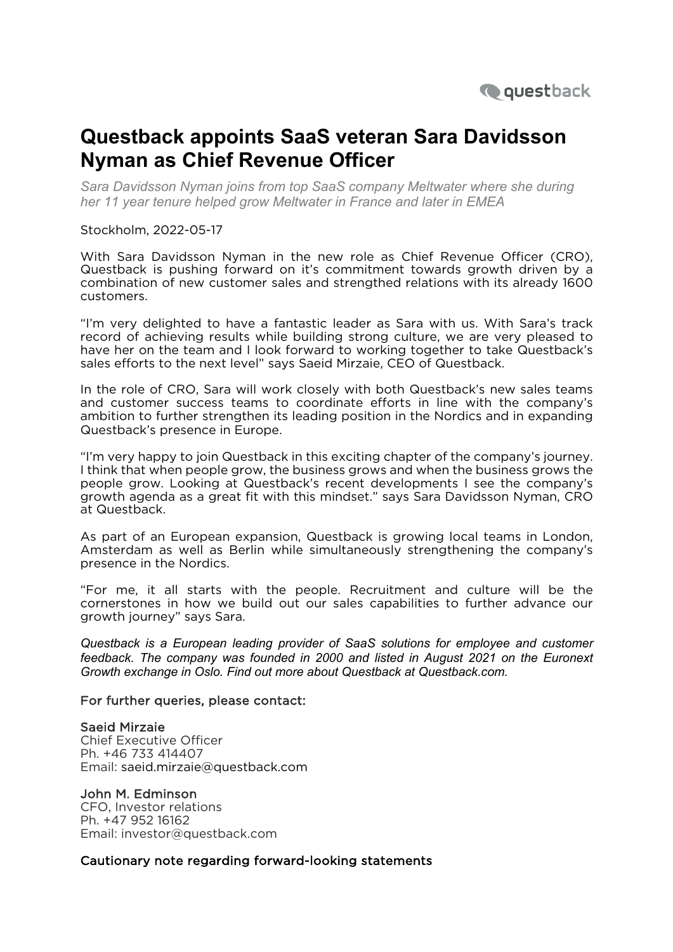

## **Questback appoints SaaS veteran Sara Davidsson Nyman as Chief Revenue Officer**

*Sara Davidsson Nyman joins from top SaaS company Meltwater where she during her 11 year tenure helped grow Meltwater in France and later in EMEA* 

Stockholm, 2022-05-17

With Sara Davidsson Nyman in the new role as Chief Revenue Officer (CRO), Questback is pushing forward on it's commitment towards growth driven by a combination of new customer sales and strengthed relations with its already 1600 customers.

"I'm very delighted to have a fantastic leader as Sara with us. With Sara's track record of achieving results while building strong culture, we are very pleased to have her on the team and I look forward to working together to take Questback's sales efforts to the next level" says Saeid Mirzaie, CEO of Questback.

In the role of CRO, Sara will work closely with both Questback's new sales teams and customer success teams to coordinate efforts in line with the company's ambition to further strengthen its leading position in the Nordics and in expanding Questback's presence in Europe.

"I'm very happy to join Questback in this exciting chapter of the company's journey. I think that when people grow, the business grows and when the business grows the people grow. Looking at Questback's recent developments I see the company's growth agenda as a great fit with this mindset." says Sara Davidsson Nyman, CRO at Questback.

As part of an European expansion, Questback is growing local teams in London, Amsterdam as well as Berlin while simultaneously strengthening the company's presence in the Nordics.

"For me, it all starts with the people. Recruitment and culture will be the cornerstones in how we build out our sales capabilities to further advance our growth journey" says Sara.

*Questback is a European leading provider of SaaS solutions for employee and customer feedback. The company was founded in 2000 and listed in August 2021 on the Euronext Growth exchange in Oslo. Find out more about Questback at Questback.com.*

## For further queries, please contact:

## Saeid Mirzaie

Chief Executive Officer Ph. +46 733 414407 Email: saeid.mirzaie@questback.com

## John M. Edminson

CFO, Investor relations Ph. +47 952 16162 Email: investor@questback.com

Cautionary note regarding forward-looking statements